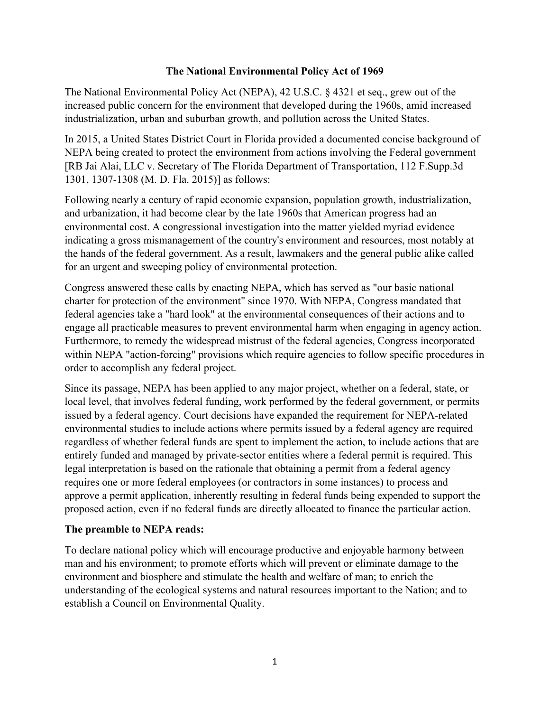#### **The National Environmental Policy Act of 1969**

The National Environmental Policy Act (NEPA), 42 U.S.C. § 4321 et seq., grew out of the increased public concern for the environment that developed during the 1960s, amid increased industrialization, urban and suburban growth, and pollution across the United States.

In 2015, a United States District Court in Florida provided a documented concise background of NEPA being created to protect the environment from actions involving the Federal government [RB Jai Alai, LLC v. Secretary of The Florida Department of Transportation, 112 F.Supp.3d 1301, 1307-1308 (M. D. Fla. 2015)] as follows:

Following nearly a century of rapid economic expansion, population growth, industrialization, and urbanization, it had become clear by the late 1960s that American progress had an environmental cost. A congressional investigation into the matter yielded myriad evidence indicating a gross mismanagement of the country's environment and resources, most notably at the hands of the federal government. As a result, lawmakers and the general public alike called for an urgent and sweeping policy of environmental protection.

Congress answered these calls by enacting NEPA, which has served as "our basic national charter for protection of the environment" since 1970. With NEPA, Congress mandated that federal agencies take a "hard look" at the environmental consequences of their actions and to engage all practicable measures to prevent environmental harm when engaging in agency action. Furthermore, to remedy the widespread mistrust of the federal agencies, Congress incorporated within NEPA "action-forcing" provisions which require agencies to follow specific procedures in order to accomplish any federal project.

Since its passage, NEPA has been applied to any major project, whether on a federal, state, or local level, that involves federal funding, work performed by the federal government, or permits issued by a federal agency. Court decisions have expanded the requirement for NEPA-related environmental studies to include actions where permits issued by a federal agency are required regardless of whether federal funds are spent to implement the action, to include actions that are entirely funded and managed by private-sector entities where a federal permit is required. This legal interpretation is based on the rationale that obtaining a permit from a federal agency requires one or more federal employees (or contractors in some instances) to process and approve a permit application, inherently resulting in federal funds being expended to support the proposed action, even if no federal funds are directly allocated to finance the particular action.

### **The preamble to NEPA reads:**

To declare national policy which will encourage productive and enjoyable harmony between man and his environment; to promote efforts which will prevent or eliminate damage to the environment and biosphere and stimulate the health and welfare of man; to enrich the understanding of the ecological systems and natural resources important to the Nation; and to establish a Council on Environmental Quality.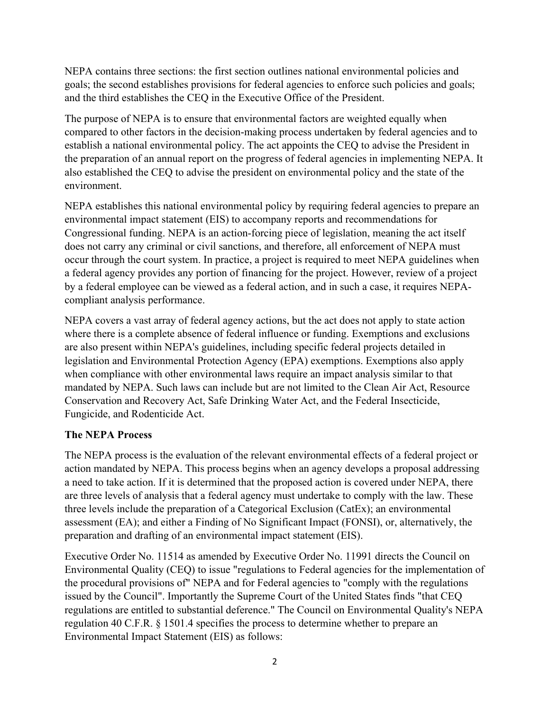NEPA contains three sections: the first section outlines national environmental policies and goals; the second establishes provisions for federal agencies to enforce such policies and goals; and the third establishes the CEQ in the Executive Office of the President.

The purpose of NEPA is to ensure that environmental factors are weighted equally when compared to other factors in the decision-making process undertaken by federal agencies and to establish a national environmental policy. The act appoints the CEQ to advise the President in the preparation of an annual report on the progress of federal agencies in implementing NEPA. It also established the CEQ to advise the president on environmental policy and the state of the environment.

NEPA establishes this national environmental policy by requiring federal agencies to prepare an environmental impact statement (EIS) to accompany reports and recommendations for Congressional funding. NEPA is an action-forcing piece of legislation, meaning the act itself does not carry any criminal or civil sanctions, and therefore, all enforcement of NEPA must occur through the court system. In practice, a project is required to meet NEPA guidelines when a federal agency provides any portion of financing for the project. However, review of a project by a federal employee can be viewed as a federal action, and in such a case, it requires NEPAcompliant analysis performance.

NEPA covers a vast array of federal agency actions, but the act does not apply to state action where there is a complete absence of federal influence or funding. Exemptions and exclusions are also present within NEPA's guidelines, including specific federal projects detailed in legislation and Environmental Protection Agency (EPA) exemptions. Exemptions also apply when compliance with other environmental laws require an impact analysis similar to that mandated by NEPA. Such laws can include but are not limited to the Clean Air Act, Resource Conservation and Recovery Act, Safe Drinking Water Act, and the Federal Insecticide, Fungicide, and Rodenticide Act.

# **The NEPA Process**

The NEPA process is the evaluation of the relevant environmental effects of a federal project or action mandated by NEPA. This process begins when an agency develops a proposal addressing a need to take action. If it is determined that the proposed action is covered under NEPA, there are three levels of analysis that a federal agency must undertake to comply with the law. These three levels include the preparation of a Categorical Exclusion (CatEx); an environmental assessment (EA); and either a Finding of No Significant Impact (FONSI), or, alternatively, the preparation and drafting of an environmental impact statement (EIS).

Executive Order No. 11514 as amended by Executive Order No. 11991 directs the Council on Environmental Quality (CEQ) to issue "regulations to Federal agencies for the implementation of the procedural provisions of" NEPA and for Federal agencies to "comply with the regulations issued by the Council". Importantly the Supreme Court of the United States finds "that CEQ regulations are entitled to substantial deference." The Council on Environmental Quality's NEPA regulation 40 C.F.R. § 1501.4 specifies the process to determine whether to prepare an Environmental Impact Statement (EIS) as follows: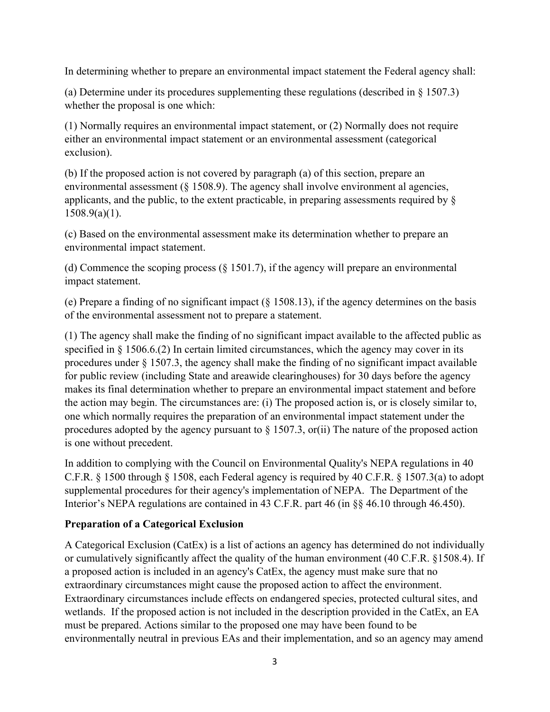In determining whether to prepare an environmental impact statement the Federal agency shall:

(a) Determine under its procedures supplementing these regulations (described in  $\S 1507.3$ ) whether the proposal is one which:

(1) Normally requires an environmental impact statement, or (2) Normally does not require either an environmental impact statement or an environmental assessment (categorical exclusion).

(b) If the proposed action is not covered by paragraph (a) of this section, prepare an environmental assessment (§ 1508.9). The agency shall involve environment al agencies, applicants, and the public, to the extent practicable, in preparing assessments required by §  $1508.9(a)(1)$ .

(c) Based on the environmental assessment make its determination whether to prepare an environmental impact statement.

(d) Commence the scoping process (§ 1501.7), if the agency will prepare an environmental impact statement.

(e) Prepare a finding of no significant impact (§ 1508.13), if the agency determines on the basis of the environmental assessment not to prepare a statement.

(1) The agency shall make the finding of no significant impact available to the affected public as specified in § 1506.6.(2) In certain limited circumstances, which the agency may cover in its procedures under § 1507.3, the agency shall make the finding of no significant impact available for public review (including State and areawide clearinghouses) for 30 days before the agency makes its final determination whether to prepare an environmental impact statement and before the action may begin. The circumstances are: (i) The proposed action is, or is closely similar to, one which normally requires the preparation of an environmental impact statement under the procedures adopted by the agency pursuant to  $\S$  1507.3, or(ii) The nature of the proposed action is one without precedent.

In addition to complying with the Council on Environmental Quality's NEPA regulations in 40 C.F.R. § 1500 through § 1508, each Federal agency is required by 40 C.F.R. § 1507.3(a) to adopt supplemental procedures for their agency's implementation of NEPA. The Department of the Interior's NEPA regulations are contained in 43 C.F.R. part 46 (in §§ 46.10 through 46.450).

### **Preparation of a Categorical Exclusion**

A Categorical Exclusion (CatEx) is a list of actions an agency has determined do not individually or cumulatively significantly affect the quality of the human environment (40 C.F.R. §1508.4). If a proposed action is included in an agency's CatEx, the agency must make sure that no extraordinary circumstances might cause the proposed action to affect the environment. Extraordinary circumstances include effects on endangered species, protected cultural sites, and wetlands. If the proposed action is not included in the description provided in the CatEx, an EA must be prepared. Actions similar to the proposed one may have been found to be environmentally neutral in previous EAs and their implementation, and so an agency may amend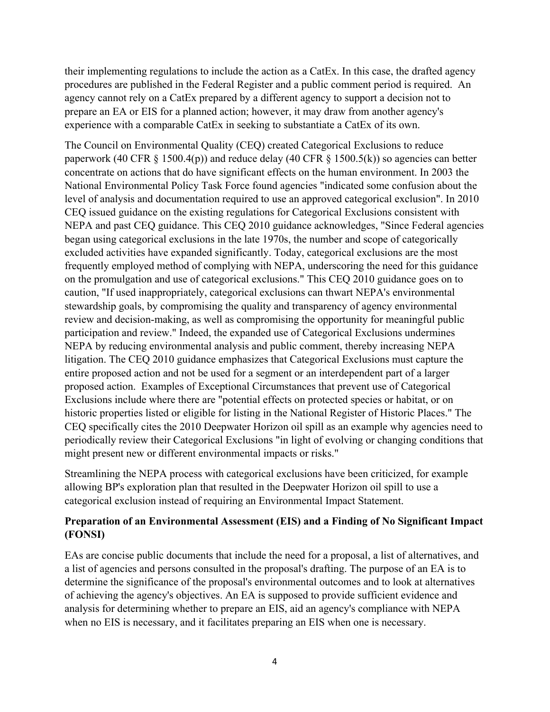their implementing regulations to include the action as a CatEx. In this case, the drafted agency procedures are published in the Federal Register and a public comment period is required. An agency cannot rely on a CatEx prepared by a different agency to support a decision not to prepare an EA or EIS for a planned action; however, it may draw from another agency's experience with a comparable CatEx in seeking to substantiate a CatEx of its own.

The Council on Environmental Quality (CEQ) created Categorical Exclusions to reduce paperwork (40 CFR  $\S$  1500.4(p)) and reduce delay (40 CFR  $\S$  1500.5(k)) so agencies can better concentrate on actions that do have significant effects on the human environment. In 2003 the National Environmental Policy Task Force found agencies "indicated some confusion about the level of analysis and documentation required to use an approved categorical exclusion". In 2010 CEQ issued guidance on the existing regulations for Categorical Exclusions consistent with NEPA and past CEQ guidance. This CEQ 2010 guidance acknowledges, "Since Federal agencies began using categorical exclusions in the late 1970s, the number and scope of categorically excluded activities have expanded significantly. Today, categorical exclusions are the most frequently employed method of complying with NEPA, underscoring the need for this guidance on the promulgation and use of categorical exclusions." This CEQ 2010 guidance goes on to caution, "If used inappropriately, categorical exclusions can thwart NEPA's environmental stewardship goals, by compromising the quality and transparency of agency environmental review and decision-making, as well as compromising the opportunity for meaningful public participation and review." Indeed, the expanded use of Categorical Exclusions undermines NEPA by reducing environmental analysis and public comment, thereby increasing NEPA litigation. The CEQ 2010 guidance emphasizes that Categorical Exclusions must capture the entire proposed action and not be used for a segment or an interdependent part of a larger proposed action. Examples of Exceptional Circumstances that prevent use of Categorical Exclusions include where there are "potential effects on protected species or habitat, or on historic properties listed or eligible for listing in the National Register of Historic Places." The CEQ specifically cites the 2010 Deepwater Horizon oil spill as an example why agencies need to periodically review their Categorical Exclusions "in light of evolving or changing conditions that might present new or different environmental impacts or risks."

Streamlining the NEPA process with categorical exclusions have been criticized, for example allowing BP's exploration plan that resulted in the Deepwater Horizon oil spill to use a categorical exclusion instead of requiring an Environmental Impact Statement.

## **Preparation of an Environmental Assessment (EIS) and a Finding of No Significant Impact (FONSI)**

EAs are concise public documents that include the need for a proposal, a list of alternatives, and a list of agencies and persons consulted in the proposal's drafting. The purpose of an EA is to determine the significance of the proposal's environmental outcomes and to look at alternatives of achieving the agency's objectives. An EA is supposed to provide sufficient evidence and analysis for determining whether to prepare an EIS, aid an agency's compliance with NEPA when no EIS is necessary, and it facilitates preparing an EIS when one is necessary.